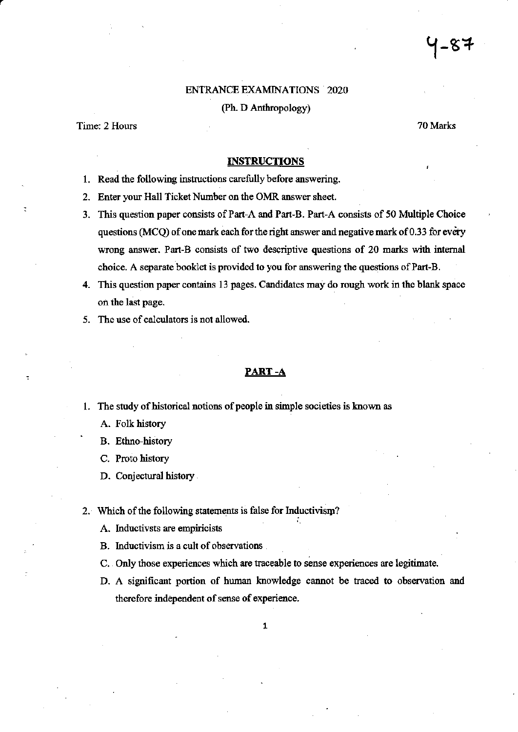### **ENTRANCE EXAMINATIONS 2020**

(Ph. D Anthropology)

## Time: 2 Hours

70 Marks

#### **INSTRUCTIONS**

- 1. Read the following instructions carefully before answering.
- 2. Enter your Hall Ticket Number on the OMR answer sheet.
- 3. This question paper consists of Part-A and Part-B. Part-A consists of 50 Multiple Choice questions (MCQ) of one mark each for the right answer and negative mark of 0.33 for every wrong answer. Part-B consists of two descriptive questions of 20 marks with internal choice. A separate booklet is provided to you for answering the questions of Part-B.
- 4. This question paper contains 13 pages. Candidates may do rough work in the blank space on the last page.
- 5. The use of calculators is not allowed.

#### PART-A

- 1. The study of historical notions of people in simple societies is known as
	- A. Folk history
	- **B.** Ethno-history
	- C. Proto history
	- D. Conjectural history
- 2. Which of the following statements is false for Inductivism?
	- A. Inductivsts are empiricists
	- B. Inductivism is a cult of observations
	- C. Only those experiences which are traceable to sense experiences are legitimate.
	- D. A significant portion of human knowledge cannot be traced to observation and therefore independent of sense of experience.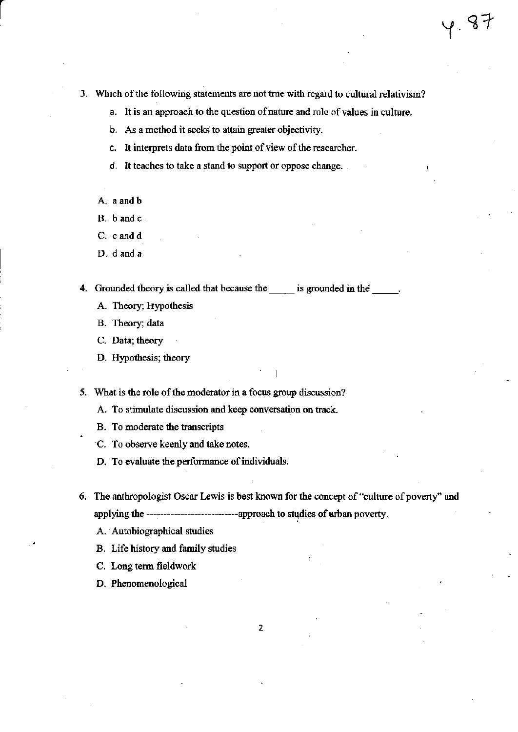- 3. Which of the following statements are not true with regard to cultural relativism?
	- a. It is an approach to the question of nature and role of values in culture.
	- b. As a method it seeks to attain greater objectivity.
	- c. It interprets data from the point of view of the researcher.
	- d. It teaches to take a stand to support or oppose change.
	- A. a and b
	- B. b and c
	- C. c and d
	- D. d and a

4. Grounded theory is called that because the same is grounded in the same.

- A. Theory; Hypothesis
- B. Theory; data
- C. Data; theory
- D. Hypothesis; theory

5. What is the role of the moderator in a focus group discussion?

A. To stimulate discussion and keep conversation on track.

- B. To moderate the transcripts
- C. To observe keenly and take notes.
- D. To evaluate the performance of individuals.
- 6. The anthropologist Oscar Lewis is best known for the concept of "culture of poverty" and applying the ------------------------------approach to studies of urban poverty.
	- A. Autobiographical studies
	- B. Life history and family studies
	- C. Long term fieldwork
	- D. Phenomenological

 $\overline{2}$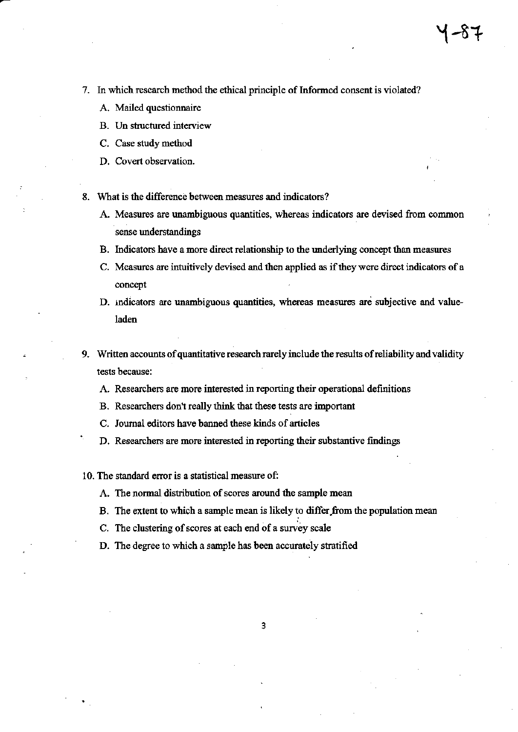- 7. In which research method the ethical principle of Informed consent is violated?
	- A. Mailed questionnaire
	- B. Un structured interview
	- C. Case study method
	- D. Covert observation.
- 8. What is the difference between measures and indicators?
	- A. Measures are unambiguous quantities, whereas indicators are devised from common sense understandings
	- B. Indicators have a more direct relationship to the underlying concept than measures
	- C. Measures are intuitively devised and then applied as if they were direct indicators of a concept
	- D. indicators are unambiguous quantities, whereas measures are subjective and valueladen
- 9. Written accounts of quantitative research rarely include the results of reliability and validity tests because:
	- A. Researchers are more interested in reporting their operational definitions
	- B. Researchers don't really think that these tests are important
	- C. Journal editors have banned these kinds of articles
	- D. Researchers are more interested in reporting their substantive findings
- 10. The standard error is a statistical measure of:
	- A. The normal distribution of scores around the sample mean
	- B. The extent to which a sample mean is likely to differ from the population mean
	- C. The clustering of scores at each end of a survey scale
	- D. The degree to which a sample has been accurately stratified

3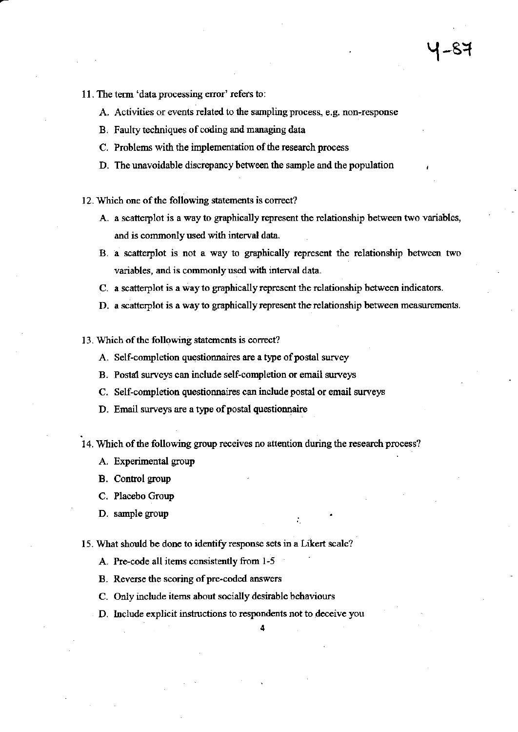- 11. The term 'data processing error' refers to:
	- A. Activities or events related to the sampling process, e.g. non-response
	- B. Faulty techniques of coding and managing data
	- C. Problems with the implementation of the research process
	- D. The unavoidable discrepancy between the sample and the population
- 12. Which one of the following statements is correct?
	- A. a scatterplot is a way to graphically represent the relationship between two variables, and is commonly used with interval data.
	- B. a scatterplot is not a way to graphically represent the relationship between two variables, and is commonly used with interval data.
	- C. a scatterplot is a way to graphically represent the relationship between indicators.
	- D. a scatterplot is a way to graphically represent the relationship between measurements.
- 13. Which of the following statements is correct?
	- A. Self-completion questionnaires are a type of postal survey
	- B. Postal surveys can include self-completion or email surveys
	- C. Self-completion questionnaires can include postal or email surveys
	- D. Email surveys are a type of postal questionnaire
- 14. Which of the following group receives no attention during the research process?
	- A. Experimental group
	- **B.** Control group
	- C. Placebo Group
	- D. sample group
- 15. What should be done to identify response sets in a Likert scale?
	- A. Pre-code all items consistently from 1-5
	- B. Reverse the scoring of pre-coded answers
	- C. Only include items about socially desirable behaviours
	- D. Include explicit instructions to respondents not to deceive you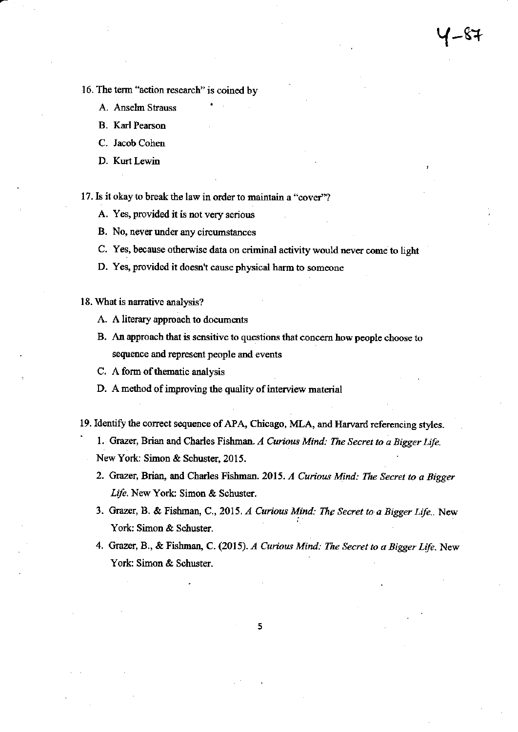- 16. The term "action research" is coined by
	- A. Anselm Strauss
	- **B.** Karl Pearson
	- C. Jacob Cohen
	- D. Kurt Lewin

17. Is it okay to break the law in order to maintain a "cover"?

- A. Yes, provided it is not very serious
- B. No, never under any circumstances
- C. Yes, because otherwise data on criminal activity would never come to light
- D. Yes, provided it doesn't cause physical harm to someone
- 18. What is narrative analysis?
	- A. A literary approach to documents
	- B. An approach that is sensitive to questions that concern how people choose to sequence and represent people and events
	- C. A form of thematic analysis
	- D. A method of improving the quality of interview material
- 19. Identify the correct sequence of APA, Chicago, MLA, and Harvard referencing styles.
	- 1. Grazer, Brian and Charles Fishman. A Curious Mind: The Secret to a Bigger Life.
	- New York: Simon & Schuster, 2015.
	- 2. Grazer, Brian, and Charles Fishman. 2015. A Curious Mind: The Secret to a Bigger Life. New York: Simon & Schuster.
	- 3. Grazer, B. & Fishman, C., 2015. A Curious Mind: The Secret to a Bigger Life.. New York: Simon & Schuster.
	- 4. Grazer, B., & Fishman, C. (2015). A Curious Mind: The Secret to a Bigger Life. New York: Simon & Schuster.

5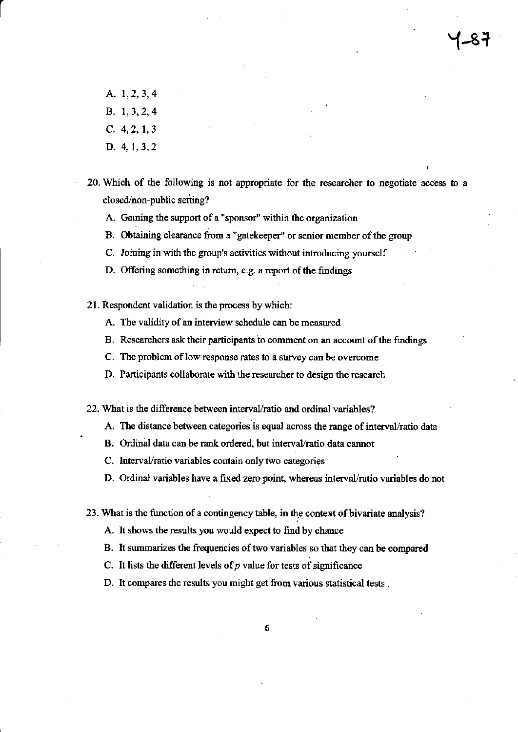- A. 1, 2, 3, 4 B. 1, 3, 2, 4
- $C. 4, 2, 1, 3$
- D. 4, 1, 3, 2
- 20. Which of the following is not appropriate for the researcher to negotiate access to a closed/non-public setting?
	- A. Gaining the support of a "sponsor" within the organization
	- B. Obtaining clearance from a "gatekeeper" or senior member of the group
	- C. Joining in with the group's activities without introducing yourself
	- D. Offering something in return, e.g. a report of the findings
- 21. Respondent validation is the process by which:
	- A. The validity of an interview schedule can be measured
	- B. Researchers ask their participants to comment on an account of the findings
	- C. The problem of low response rates to a survey can be overcome
	- D. Participants collaborate with the researcher to design the research

22. What is the difference between interval/ratio and ordinal variables?

- A. The distance between categories is equal across the range of interval/ratio data
- B. Ordinal data can be rank ordered, but interval/ratio data cannot
- C. Interval/ratio variables contain only two categories
- D. Ordinal variables have a fixed zero point, whereas interval/ratio variables do not

23. What is the function of a contingency table, in the context of bivariate analysis?

- A. It shows the results you would expect to find by chance
- B. It summarizes the frequencies of two variables so that they can be compared
- C. It lists the different levels of  $p$  value for tests of significance
- D. It compares the results you might get from various statistical tests.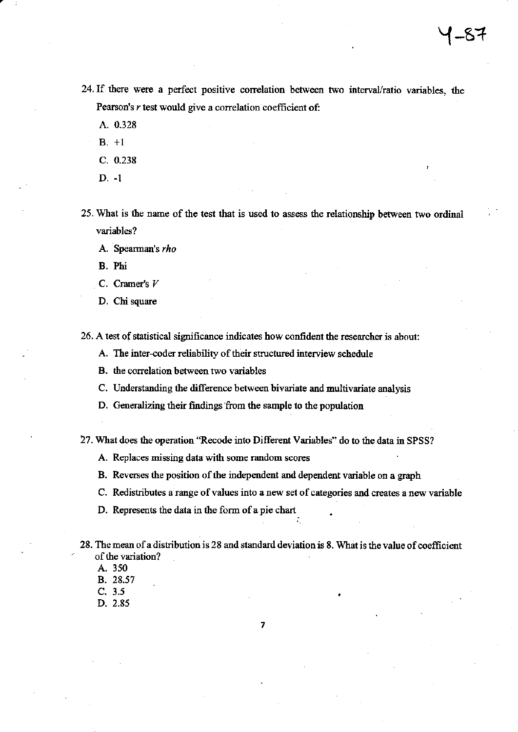- 24. If there were a perfect positive correlation between two interval/ratio variables, the Pearson's r test would give a correlation coefficient of:
	- A. 0.328
	- $B. +1$
	- $C. 0.238$
	- $D. -1$

25. What is the name of the test that is used to assess the relationship between two ordinal variables?

A. Spearman's rho

B. Phi

- C. Cramer's  $V$
- D. Chi square

26. A test of statistical significance indicates how confident the researcher is about:

A. The inter-coder reliability of their structured interview schedule

- B. the correlation between two variables
- C. Understanding the difference between bivariate and multivariate analysis
- D. Generalizing their findings from the sample to the population

27. What does the operation "Recode into Different Variables" do to the data in SPSS?

- A. Replaces missing data with some random scores
- B. Reverses the position of the independent and dependent variable on a graph
- C. Redistributes a range of values into a new set of categories and creates a new variable
- D. Represents the data in the form of a pie chart
- 28. The mean of a distribution is 28 and standard deviation is 8. What is the value of coefficient of the variation?
	- A. 350
	- B. 28.57
	- $C. 3.5$
	- D. 2.85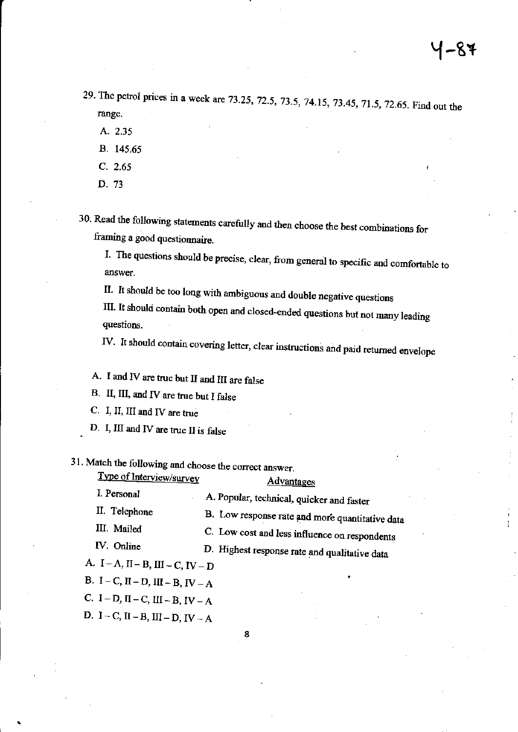29. The petrol prices in a week are 73.25, 72.5, 73.5, 74.15, 73.45, 71.5, 72.65. Find out the range.

- A. 2.35
- B. 145.65
- $C. 2.65$
- D. 73

30. Read the following statements carefully and then choose the best combinations for framing a good questionnaire.

I. The questions should be precise, clear, from general to specific and comfortable to answer.

II. It should be too long with ambiguous and double negative questions

III. It should contain both open and closed-ended questions but not many leading questions.

IV. It should contain covering letter, clear instructions and paid returned envelope

A. I and IV are true but II and III are false

B. II, III, and IV are true but I false

C. I, II, III and IV are true

D. I, III and IV are true II is false

31. Match the following and choose the correct answer.

| Type of Interview/survey | <b>Advantages</b> |  |
|--------------------------|-------------------|--|
| I. Personal              | $P_{\alpha}$      |  |

|               | A Proponal, recurrical, quicker and faster      |
|---------------|-------------------------------------------------|
| II. Telephone | B. Low response rate and more quantitative data |
| III. Mailed   | C. Low cost and less influence on respondents   |
| IV. Online    | D. Highest response rate and qualitative data   |

A.  $I - A$ ,  $II - B$ ,  $III - C$ ,  $IV - D$ 

B. I – C, II – D, III – B, IV – A

C. I – D, II – C, III – B, IV – A

D.  $I - C$ ,  $II - B$ ,  $III - D$ ,  $IV - A$ 

8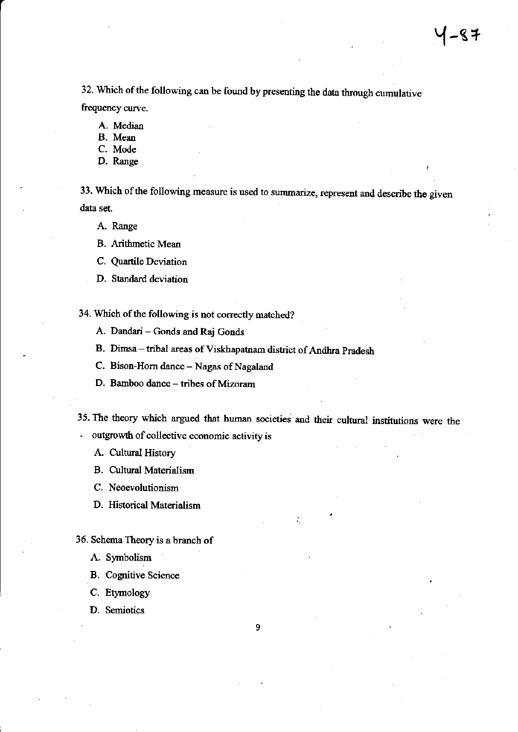32. Which of the following can be found by presenting the data through cumulative frequency curve.

- A. Median
- B. Mean
- C. Mode
- D. Range

33. Which of the following measure is used to summarize, represent and describe the given data set.

A. Range

- **B.** Arithmetic Mean
- C. Quartile Deviation
- D. Standard deviation

34. Which of the following is not correctly matched?

- A. Dandari Gonds and Raj Gonds
- B. Dimsa tribal areas of Viskhapatnam district of Andhra Pradesh
- C. Bison-Horn dance Nagas of Nagaland
- D. Bamboo dance tribes of Mizoram

35. The theory which argued that human societies and their cultural institutions were the

- outgrowth of collective economic activity is

- A. Cultural History
- **B.** Cultural Materialism
- C. Neoevolutionism
- D. Historical Materialism
- 36. Schema Theory is a branch of
	- A. Symbolism
	- **B.** Cognitive Science
	- C. Etymology
	- D. Semiotics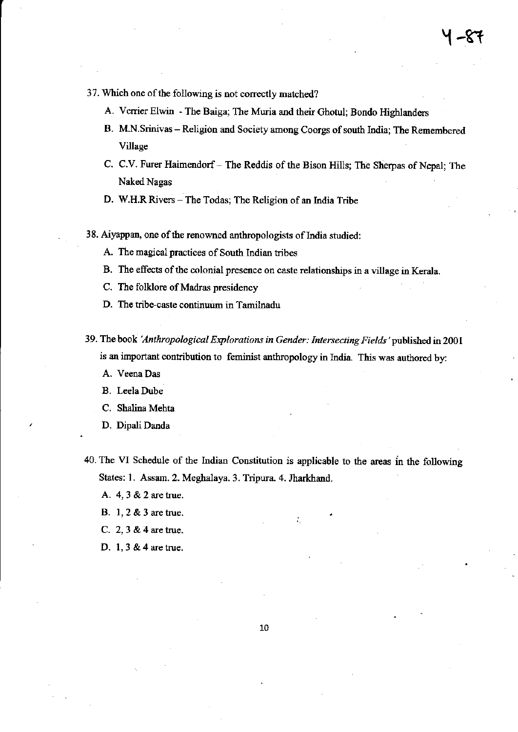- 37. Which one of the following is not correctly matched?
	- A. Verrier Elwin The Baiga; The Muria and their Ghotul; Bondo Highlanders
	- B. M.N.Srinivas Religion and Society among Coorgs of south India; The Remembered Village
	- C. C.V. Furer Haimendorf The Reddis of the Bison Hills; The Sherpas of Nepal; The Naked Nagas
	- D. W.H.R Rivers The Todas; The Religion of an India Tribe
- 38. Aiyappan, one of the renowned anthropologists of India studied:
	- A. The magical practices of South Indian tribes
	- B. The effects of the colonial presence on caste relationships in a village in Kerala.
	- C. Tbe folklore of Madras presidency
	- D. The tribe-caste continuum in Tamilnadu
- 39. The book 'Anthropological Explorations in Gender: Intersecting Fields' published in 2001 is an important contribution to feminist anthropology in India. This was authored by:
	- A. Veena Das
	- B. Leela Dube
	- C. Shalina Mehta
	- D. Dipali Danda
- 40. The VI Schedule of the Indian Constitution is applicable to the areas in the following States: 1. Assam. 2. Meghalaya. 3. Tripura. 4. Jharkhand.
	- A. 4, 3 & 2 are true.
	- B. 1,2 & 3 are true.
	- C.2,3&4aretrue.
	- D. 1,3 & 4 are true.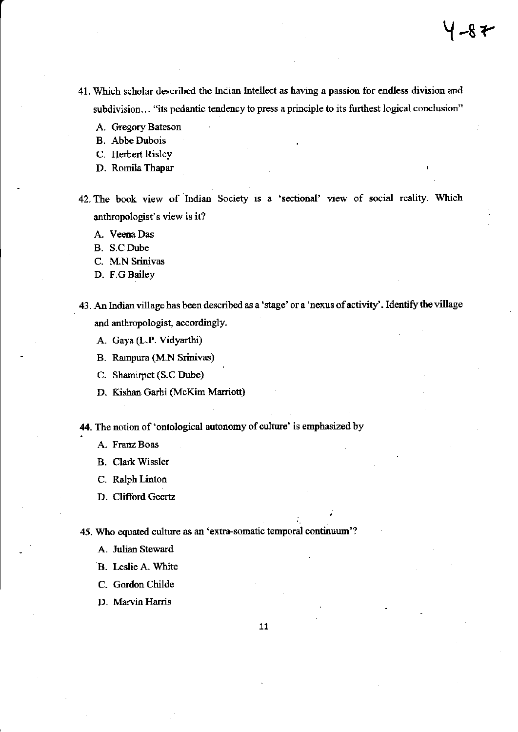- 41. Which scholar described the Indian Intellect as having a passion for endless division and subdivision... "its pedantic tendency to press a principle to its furthest logical conclusion"
	- A. Gregory Bateson
	- B. Abbe Dubois
	- C. Herbert Risley
	- D. Romila Thapar
- 42. The book view of Indian Society is a 'sectional' view of social reality. Which anthropologist's view is it?
	- A. Veena Das
	- B. S.C Dube
	- C. M.N Srinivas
	- D. F.G Bailey
- <sup>43</sup>. An Indian village has been described as a 'stage' or a 'nexus of activity' . Identify the village and anthropologist, accordingly.
	- A. Gaya (L.P. Vidyarthi)
	- B. Rampura (M.N Srinivas)
	- C. Shamirpet (S.c Dube)
	- D. Kishan Garhi (McKim Marriott)

44. The notion of 'ontological autonomy of culture' is emphasized by

- A. Franz Boas
- **B.** Clark Wissler
- C. Ralph Linton
- D. Clifford Geertz

45. Who equated culture as an 'extra-somatic temporal continuum'?

- A. Julian Steward
- B. Leslie A. White
- C. Gordon Childe

D. Marvin Harris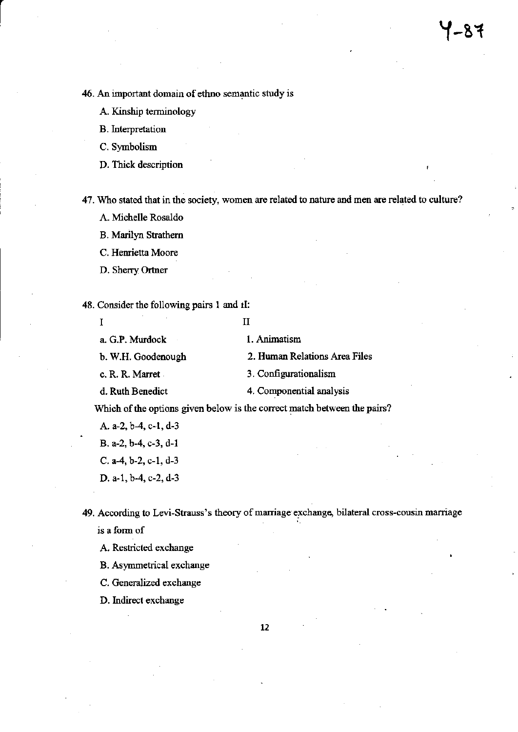46. An important domain of ethno semantic study is

A. Kinship terminology

**B**. Interpretation

C. Symbolism

D. Thick description

47. Who stated that in the society, women are related to nature and men are related to culture?

A. Michelle Rosaldo

B. Marilyn Strathern

C. Henrietta Moore

D. Sherry Ortner

48. Consider the following pairs 1 and iI:

| a. G.P. Murdock       | 1. Animatism                                                             |
|-----------------------|--------------------------------------------------------------------------|
| b. W.H. Goodenough    | 2. Human Relations Area Files                                            |
| c. R. R. Marret       | 3. Configurationalism                                                    |
| d. Ruth Benedict      | 4. Componential analysis                                                 |
|                       | Which of the options given below is the correct match between the pairs? |
| A. a-2, b-4, c-1, d-3 |                                                                          |

B. a-2, b-4, c-3, d-1

C. a-4, b-2, c-1, d-3

D. a-1, b-4, c-2, d-3

49. According to Levi-Strauss's theory of marriage exchange, bilateral cross-cousin marriage is a form of

A. Restricted exchange

B. Asymmetrical exchange

C. Generalized exchange

D. Indirect exchange